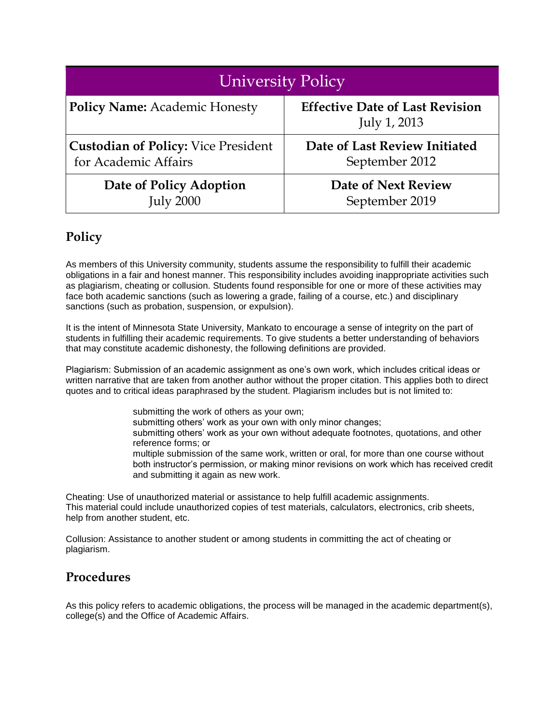| <b>University Policy</b>                   |                                                        |
|--------------------------------------------|--------------------------------------------------------|
| <b>Policy Name:</b> Academic Honesty       | <b>Effective Date of Last Revision</b><br>July 1, 2013 |
| <b>Custodian of Policy: Vice President</b> | Date of Last Review Initiated                          |
| for Academic Affairs                       | September 2012                                         |
| Date of Policy Adoption                    | <b>Date of Next Review</b>                             |
| <b>July 2000</b>                           | September 2019                                         |

## **Policy**

As members of this University community, students assume the responsibility to fulfill their academic obligations in a fair and honest manner. This responsibility includes avoiding inappropriate activities such as plagiarism, cheating or collusion. Students found responsible for one or more of these activities may face both academic sanctions (such as lowering a grade, failing of a course, etc.) and disciplinary sanctions (such as probation, suspension, or expulsion).

It is the intent of Minnesota State University, Mankato to encourage a sense of integrity on the part of students in fulfilling their academic requirements. To give students a better understanding of behaviors that may constitute academic dishonesty, the following definitions are provided.

Plagiarism: Submission of an academic assignment as one's own work, which includes critical ideas or written narrative that are taken from another author without the proper citation. This applies both to direct quotes and to critical ideas paraphrased by the student. Plagiarism includes but is not limited to:

> submitting the work of others as your own; submitting others' work as your own with only minor changes; submitting others' work as your own without adequate footnotes, quotations, and other reference forms; or multiple submission of the same work, written or oral, for more than one course without both instructor's permission, or making minor revisions on work which has received credit and submitting it again as new work.

Cheating: Use of unauthorized material or assistance to help fulfill academic assignments. This material could include unauthorized copies of test materials, calculators, electronics, crib sheets, help from another student, etc.

Collusion: Assistance to another student or among students in committing the act of cheating or plagiarism.

## **Procedures**

As this policy refers to academic obligations, the process will be managed in the academic department(s), college(s) and the Office of Academic Affairs.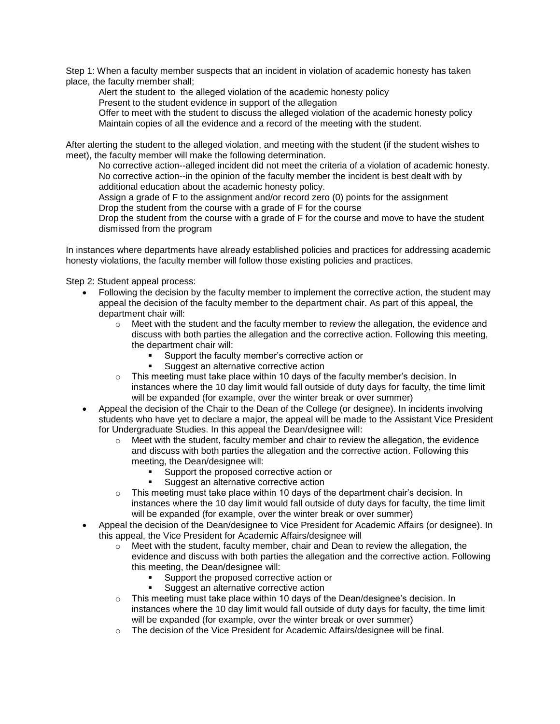Step 1: When a faculty member suspects that an incident in violation of academic honesty has taken place, the faculty member shall;

Alert the student to the alleged violation of the academic honesty policy

Present to the student evidence in support of the allegation

Offer to meet with the student to discuss the alleged violation of the academic honesty policy Maintain copies of all the evidence and a record of the meeting with the student.

After alerting the student to the alleged violation, and meeting with the student (if the student wishes to meet), the faculty member will make the following determination.

No corrective action--alleged incident did not meet the criteria of a violation of academic honesty. No corrective action--in the opinion of the faculty member the incident is best dealt with by additional education about the academic honesty policy.

Assign a grade of F to the assignment and/or record zero (0) points for the assignment Drop the student from the course with a grade of F for the course

Drop the student from the course with a grade of F for the course and move to have the student dismissed from the program

In instances where departments have already established policies and practices for addressing academic honesty violations, the faculty member will follow those existing policies and practices.

Step 2: Student appeal process:

- Following the decision by the faculty member to implement the corrective action, the student may appeal the decision of the faculty member to the department chair. As part of this appeal, the department chair will:
	- $\circ$  Meet with the student and the faculty member to review the allegation, the evidence and discuss with both parties the allegation and the corrective action. Following this meeting, the department chair will:
		- Support the faculty member's corrective action or
		- Suggest an alternative corrective action
	- o This meeting must take place within 10 days of the faculty member's decision. In instances where the 10 day limit would fall outside of duty days for faculty, the time limit will be expanded (for example, over the winter break or over summer)
- Appeal the decision of the Chair to the Dean of the College (or designee). In incidents involving students who have yet to declare a major, the appeal will be made to the Assistant Vice President for Undergraduate Studies. In this appeal the Dean/designee will:
	- $\circ$  Meet with the student, faculty member and chair to review the allegation, the evidence and discuss with both parties the allegation and the corrective action. Following this meeting, the Dean/designee will:
		- Support the proposed corrective action or
		- Suggest an alternative corrective action
	- $\circ$  This meeting must take place within 10 days of the department chair's decision. In instances where the 10 day limit would fall outside of duty days for faculty, the time limit will be expanded (for example, over the winter break or over summer)
- Appeal the decision of the Dean/designee to Vice President for Academic Affairs (or designee). In this appeal, the Vice President for Academic Affairs/designee will
	- $\circ$  Meet with the student, faculty member, chair and Dean to review the allegation, the evidence and discuss with both parties the allegation and the corrective action. Following this meeting, the Dean/designee will:
		- Support the proposed corrective action or
		- Suggest an alternative corrective action
	- o This meeting must take place within 10 days of the Dean/designee's decision. In instances where the 10 day limit would fall outside of duty days for faculty, the time limit will be expanded (for example, over the winter break or over summer)
	- $\circ$  The decision of the Vice President for Academic Affairs/designee will be final.